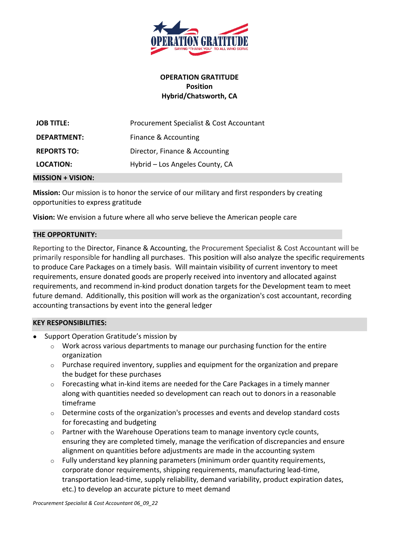

# **OPERATION GRATITUDE Position Hybrid/Chatsworth, CA**

| <b>JOB TITLE:</b>  | Procurement Specialist & Cost Accountant |
|--------------------|------------------------------------------|
| <b>DEPARTMENT:</b> | Finance & Accounting                     |
| <b>REPORTS TO:</b> | Director, Finance & Accounting           |
| LOCATION:          | Hybrid – Los Angeles County, CA          |
|                    |                                          |

#### **MISSION + VISION:**

**Mission:** Our mission is to honor the service of our military and first responders by creating opportunities to express gratitude

**Vision:** We envision a future where all who serve believe the American people care

### **THE OPPORTUNITY:**

Reporting to the Director, Finance & Accounting, the Procurement Specialist & Cost Accountant will be primarily responsible for handling all purchases. This position will also analyze the specific requirements to produce Care Packages on a timely basis. Will maintain visibility of current inventory to meet requirements, ensure donated goods are properly received into inventory and allocated against requirements, and recommend in-kind product donation targets for the Development team to meet future demand. Additionally, this position will work as the organization's cost accountant, recording accounting transactions by event into the general ledger

### **KEY RESPONSIBILITIES:**

- Support Operation Gratitude's mission by
	- $\circ$  Work across various departments to manage our purchasing function for the entire organization
	- $\circ$  Purchase required inventory, supplies and equipment for the organization and prepare the budget for these purchases
	- $\circ$  Forecasting what in-kind items are needed for the Care Packages in a timely manner along with quantities needed so development can reach out to donors in a reasonable timeframe
	- $\circ$  Determine costs of the organization's processes and events and develop standard costs for forecasting and budgeting
	- $\circ$  Partner with the Warehouse Operations team to manage inventory cycle counts, ensuring they are completed timely, manage the verification of discrepancies and ensure alignment on quantities before adjustments are made in the accounting system
	- $\circ$  Fully understand key planning parameters (minimum order quantity requirements, corporate donor requirements, shipping requirements, manufacturing lead-time, transportation lead-time, supply reliability, demand variability, product expiration dates, etc.) to develop an accurate picture to meet demand